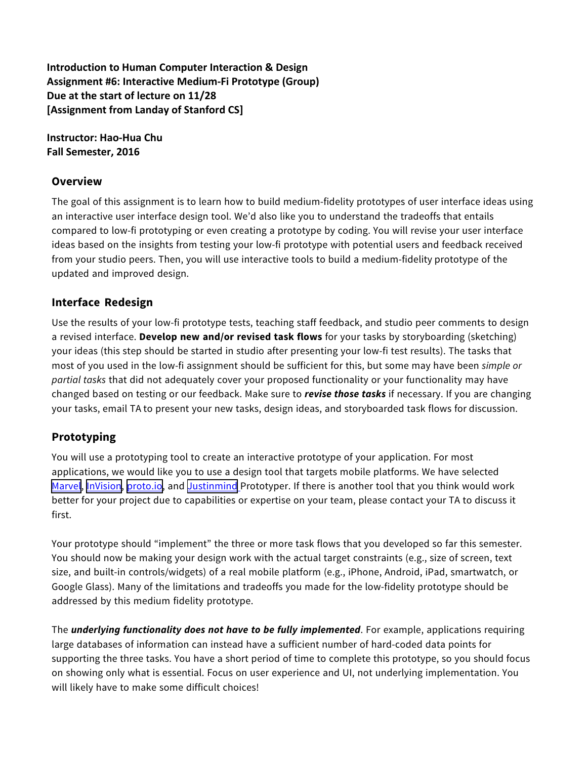**Introduction to Human Computer Interaction & Design** Assignment #6: Interactive Medium-Fi Prototype (Group) **Due at the start of lecture on 11/28 [Assignment from Landay of Stanford CS]** 

**Instructor: Hao-Hua Chu Fall** Semester, 2016

#### **Overview**

The goal of this assignment is to learn how to build medium-fidelity prototypes of user interface ideas using an interactive user interface design tool. We'd also like you to understand the tradeoffs that entails compared to low-fi prototyping or even creating a prototype by coding. You will revise your user interface ideas based on the insights from testing your low-fi prototype with potential users and feedback received from your studio peers. Then, you will use interactive tools to build a medium-fidelity prototype of the updated and improved design.

## **Interface Redesign**

Use the results of your low-fi prototype tests, teaching staff feedback, and studio peer comments to design a revised interface. **Develop new and/or revised task flows** for your tasks by storyboarding (sketching) your ideas (this step should be started in studio after presenting your low-fi test results). The tasks that most of you used in the low-fi assignment should be sufficient for this, but some may have been *simple or partial tasks* that did not adequately cover your proposed functionality or your functionality may have changed based on testing or our feedback. Make sure to *revise those tasks* if necessary. If you are changing your tasks, email TA to present your new tasks, design ideas, and storyboarded task flows for discussion.

## **Prototyping**

You will use a prototyping tool to create an interactive prototype of your application. For most applications, we would like you to use a design tool that targets mobile platforms. We have selected [Marvel,](https://marvelapp.com/) [InVision,](https://www.invisionapp.com/) [proto.io](https://proto.io/), and [Justinmind](http://www.justinmind.com/) Prototyper. If there is another tool that you think would work better for your project due to capabilities or expertise on your team, please contact your TA to discuss it first.

Your prototype should "implement" the three or more task flows that you developed so far this semester. You should now be making your design work with the actual target constraints (e.g., size of screen, text size, and built-in controls/widgets) of a real mobile platform (e.g., iPhone, Android, iPad, smartwatch, or Google Glass). Many of the limitations and tradeoffs you made for the low-fidelity prototype should be addressed by this medium fidelity prototype.

The *underlying functionality does not have to be fully implemented*. For example, applications requiring large databases of information can instead have a sufficient number of hard-coded data points for supporting the three tasks. You have a short period of time to complete this prototype, so you should focus on showing only what is essential. Focus on user experience and UI, not underlying implementation. You will likely have to make some difficult choices!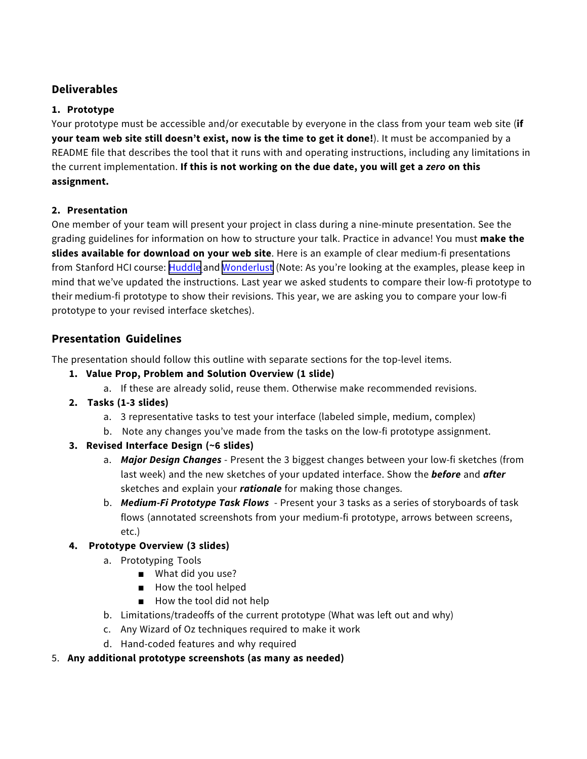# **Deliverables**

#### **1. Prototype**

Your prototype must be accessible and/or executable by everyone in the class from your team web site (**if your team web site still doesn't exist, now is the time to get it done!**). It must be accompanied by a README file that describes the tool that it runs with and operating instructions, including any limitations in the current implementation. **If this is not working on the due date, you will get a** *zero* **on this assignment.**

#### **2. Presentation**

One member of your team will present your project in class during a nine-minute presentation. See the grading guidelines for information on how to structure your talk. Practice in advance! You must **make the slides available for download on your web site**. Here is an example of clear medium-fi presentations from Stanford HCI course: [Huddle](http://hci.stanford.edu/courses/cs147/2014/au/projects/discovery/huddle/documentation/medfi_pres.pptx) and [Wonderlust](http://hci.stanford.edu/courses/cs147/2014/au/projects/information/wonderlust/website/presentations/presentation_medFiPrototype.pdf) (Note: As you're looking at the examples, please keep in mind that we've updated the instructions. Last year we asked students to compare their low-fi prototype to their medium-fi prototype to show their revisions. This year, we are asking you to compare your low-fi prototype to your revised interface sketches).

## **Presentation Guidelines**

The presentation should follow this outline with separate sections for the top-level items.

- **1. Value Prop, Problem and Solution Overview (1 slide)**
	- a. If these are already solid, reuse them. Otherwise make recommended revisions.
- **2. Tasks (1-3 slides)**
	- a. 3 representative tasks to test your interface (labeled simple, medium, complex)
	- b. Note any changes you've made from the tasks on the low-fi prototype assignment.
- **3. Revised Interface Design (~6 slides)**
	- a. *Major Design Changes* Present the 3 biggest changes between your low-fi sketches (from last week) and the new sketches of your updated interface. Show the *before* and *after* sketches and explain your *rationale* for making those changes.
	- b. *Medium-Fi Prototype Task Flows*  Present your 3 tasks as a series of storyboards of task flows (annotated screenshots from your medium-fi prototype, arrows between screens, etc.)

## **4. Prototype Overview (3 slides)**

- a. Prototyping Tools
	- What did you use?
	- How the tool helped
	- How the tool did not help
- b. Limitations/tradeoffs of the current prototype (What was left out and why)
- c. Any Wizard of Oz techniques required to make it work
- d. Hand-coded features and why required
- 5. **Any additional prototype screenshots (as many as needed)**